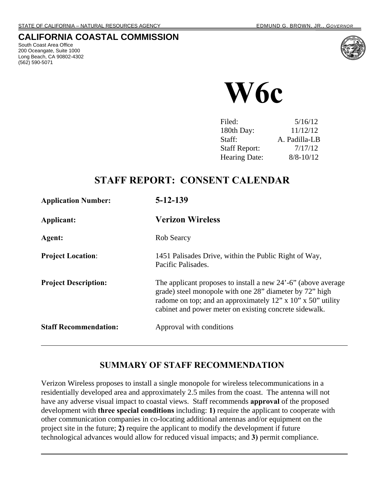#### **CALIFORNIA COASTAL COMMISSION**

South Coast Area Office 200 Oceangate, Suite 1000 Long Beach, CA 90802-4302 (562) 590-5071





| Filed:               | 5/16/12       |
|----------------------|---------------|
| 180th Day:           | 11/12/12      |
| Staff:               | A. Padilla-LB |
| <b>Staff Report:</b> | 7/17/12       |
| <b>Hearing Date:</b> | $8/8 - 10/12$ |
|                      |               |

# **STAFF REPORT: CONSENT CALENDAR**

| <b>Application Number:</b>   | $5 - 12 - 139$                                                                                                                                                                                                                                    |
|------------------------------|---------------------------------------------------------------------------------------------------------------------------------------------------------------------------------------------------------------------------------------------------|
| Applicant:                   | <b>Verizon Wireless</b>                                                                                                                                                                                                                           |
| Agent:                       | Rob Searcy                                                                                                                                                                                                                                        |
| <b>Project Location:</b>     | 1451 Palisades Drive, within the Public Right of Way,<br>Pacific Palisades.                                                                                                                                                                       |
| <b>Project Description:</b>  | The applicant proposes to install a new 24'-6" (above average<br>grade) steel monopole with one 28" diameter by 72" high<br>radome on top; and an approximately 12" x 10" x 50" utility<br>cabinet and power meter on existing concrete sidewalk. |
| <b>Staff Recommendation:</b> | Approval with conditions                                                                                                                                                                                                                          |

## **SUMMARY OF STAFF RECOMMENDATION**

Verizon Wireless proposes to install a single monopole for wireless telecommunications in a residentially developed area and approximately 2.5 miles from the coast. The antenna will not have any adverse visual impact to coastal views. Staff recommends **approval** of the proposed development with **three special conditions** including: **1)** require the applicant to cooperate with other communication companies in co-locating additional antennas and/or equipment on the project site in the future; **2)** require the applicant to modify the development if future technological advances would allow for reduced visual impacts; and **3)** permit compliance.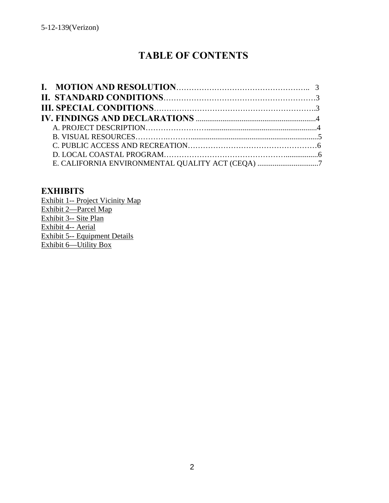# **TABLE OF CONTENTS**

| E. CALIFORNIA ENVIRONMENTAL QUALITY ACT (CEQA) 7 |  |
|--------------------------------------------------|--|

#### **EXHIBITS**

Exhibit 1-- Project Vicinity Map Exhibit 2—Parcel Map Exhibit 3-- Site Plan Exhibit 4-- Aerial Exhibit 5-- Equipment Details Exhibit 6—Utility Box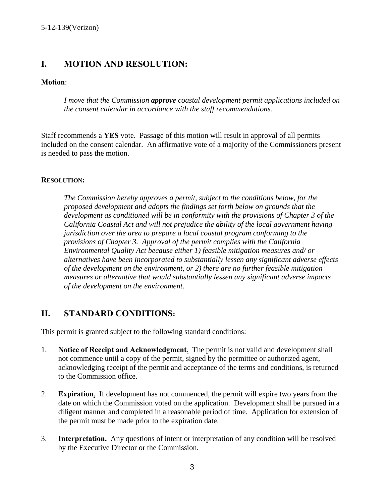## **I. MOTION AND RESOLUTION:**

#### **Motion**:

 *I move that the Commission approve coastal development permit applications included on the consent calendar in accordance with the staff recommendations.* 

Staff recommends a **YES** vote. Passage of this motion will result in approval of all permits included on the consent calendar. An affirmative vote of a majority of the Commissioners present is needed to pass the motion.

#### **RESOLUTION:**

*The Commission hereby approves a permit, subject to the conditions below, for the proposed development and adopts the findings set forth below on grounds that the development as conditioned will be in conformity with the provisions of Chapter 3 of the California Coastal Act and will not prejudice the ability of the local government having jurisdiction over the area to prepare a local coastal program conforming to the provisions of Chapter 3. Approval of the permit complies with the California Environmental Quality Act because either 1) feasible mitigation measures and/ or alternatives have been incorporated to substantially lessen any significant adverse effects of the development on the environment, or 2) there are no further feasible mitigation measures or alternative that would substantially lessen any significant adverse impacts of the development on the environment*.

## **II. STANDARD CONDITIONS:**

This permit is granted subject to the following standard conditions:

- 1. **Notice of Receipt and Acknowledgment**. The permit is not valid and development shall not commence until a copy of the permit, signed by the permittee or authorized agent, acknowledging receipt of the permit and acceptance of the terms and conditions, is returned to the Commission office.
- 2. **Expiration**. If development has not commenced, the permit will expire two years from the date on which the Commission voted on the application. Development shall be pursued in a diligent manner and completed in a reasonable period of time. Application for extension of the permit must be made prior to the expiration date.
- 3. **Interpretation.** Any questions of intent or interpretation of any condition will be resolved by the Executive Director or the Commission.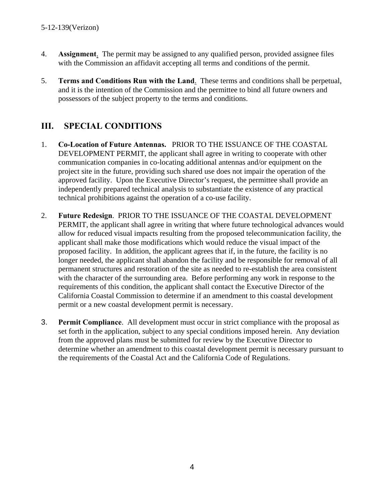- 4. **Assignment**. The permit may be assigned to any qualified person, provided assignee files with the Commission an affidavit accepting all terms and conditions of the permit.
- 5. **Terms and Conditions Run with the Land**. These terms and conditions shall be perpetual, and it is the intention of the Commission and the permittee to bind all future owners and possessors of the subject property to the terms and conditions.

# **III. SPECIAL CONDITIONS**

- 1. **Co-Location of Future Antennas.** PRIOR TO THE ISSUANCE OF THE COASTAL DEVELOPMENT PERMIT, the applicant shall agree in writing to cooperate with other communication companies in co-locating additional antennas and/or equipment on the project site in the future, providing such shared use does not impair the operation of the approved facility. Upon the Executive Director's request, the permittee shall provide an independently prepared technical analysis to substantiate the existence of any practical technical prohibitions against the operation of a co-use facility.
- 2. **Future Redesign**. PRIOR TO THE ISSUANCE OF THE COASTAL DEVELOPMENT PERMIT, the applicant shall agree in writing that where future technological advances would allow for reduced visual impacts resulting from the proposed telecommunication facility, the applicant shall make those modifications which would reduce the visual impact of the proposed facility. In addition, the applicant agrees that if, in the future, the facility is no longer needed, the applicant shall abandon the facility and be responsible for removal of all permanent structures and restoration of the site as needed to re-establish the area consistent with the character of the surrounding area. Before performing any work in response to the requirements of this condition, the applicant shall contact the Executive Director of the California Coastal Commission to determine if an amendment to this coastal development permit or a new coastal development permit is necessary.
- 3. **Permit Compliance**. All development must occur in strict compliance with the proposal as set forth in the application, subject to any special conditions imposed herein. Any deviation from the approved plans must be submitted for review by the Executive Director to determine whether an amendment to this coastal development permit is necessary pursuant to the requirements of the Coastal Act and the California Code of Regulations.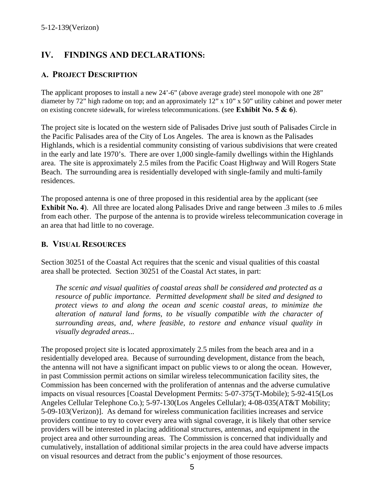# **IV. FINDINGS AND DECLARATIONS:**

#### **A. PROJECT DESCRIPTION**

The applicant proposes to install a new 24'-6" (above average grade) steel monopole with one 28" diameter by 72" high radome on top; and an approximately 12" x 10" x 50" utility cabinet and power meter on existing concrete sidewalk, for wireless telecommunications. (see **Exhibit No. 5 & 6**).

The project site is located on the western side of Palisades Drive just south of Palisades Circle in the Pacific Palisades area of the City of Los Angeles. The area is known as the Palisades Highlands, which is a residential community consisting of various subdivisions that were created in the early and late 1970's. There are over 1,000 single-family dwellings within the Highlands area. The site is approximately 2.5 miles from the Pacific Coast Highway and Will Rogers State Beach. The surrounding area is residentially developed with single-family and multi-family residences.

The proposed antenna is one of three proposed in this residential area by the applicant (see **Exhibit No. 4**). All three are located along Palisades Drive and range between .3 miles to .6 miles from each other. The purpose of the antenna is to provide wireless telecommunication coverage in an area that had little to no coverage.

#### **B. VISUAL RESOURCES**

Section 30251 of the Coastal Act requires that the scenic and visual qualities of this coastal area shall be protected. Section 30251 of the Coastal Act states, in part:

*The scenic and visual qualities of coastal areas shall be considered and protected as a resource of public importance. Permitted development shall be sited and designed to protect views to and along the ocean and scenic coastal areas, to minimize the alteration of natural land forms, to be visually compatible with the character of surrounding areas, and, where feasible, to restore and enhance visual quality in visually degraded areas...* 

The proposed project site is located approximately 2.5 miles from the beach area and in a residentially developed area. Because of surrounding development, distance from the beach, the antenna will not have a significant impact on public views to or along the ocean. However, in past Commission permit actions on similar wireless telecommunication facility sites, the Commission has been concerned with the proliferation of antennas and the adverse cumulative impacts on visual resources [Coastal Development Permits: 5-07-375(T-Mobile); 5-92-415(Los Angeles Cellular Telephone Co.); 5-97-130(Los Angeles Cellular); 4-08-035(AT&T Mobility; 5-09-103(Verizon)]. As demand for wireless communication facilities increases and service providers continue to try to cover every area with signal coverage, it is likely that other service providers will be interested in placing additional structures, antennas, and equipment in the project area and other surrounding areas. The Commission is concerned that individually and cumulatively, installation of additional similar projects in the area could have adverse impacts on visual resources and detract from the public's enjoyment of those resources.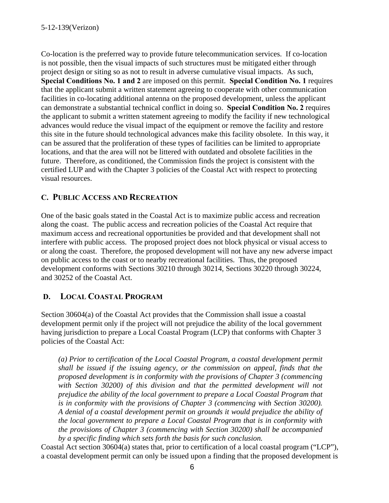Co-location is the preferred way to provide future telecommunication services. If co-location is not possible, then the visual impacts of such structures must be mitigated either through project design or siting so as not to result in adverse cumulative visual impacts. As such, **Special Conditions No. 1 and 2** are imposed on this permit. **Special Condition No. 1** requires that the applicant submit a written statement agreeing to cooperate with other communication facilities in co-locating additional antenna on the proposed development, unless the applicant can demonstrate a substantial technical conflict in doing so. **Special Condition No. 2** requires the applicant to submit a written statement agreeing to modify the facility if new technological advances would reduce the visual impact of the equipment or remove the facility and restore this site in the future should technological advances make this facility obsolete. In this way, it can be assured that the proliferation of these types of facilities can be limited to appropriate locations, and that the area will not be littered with outdated and obsolete facilities in the future. Therefore, as conditioned, the Commission finds the project is consistent with the certified LUP and with the Chapter 3 policies of the Coastal Act with respect to protecting visual resources.

#### **C. PUBLIC ACCESS AND RECREATION**

One of the basic goals stated in the Coastal Act is to maximize public access and recreation along the coast. The public access and recreation policies of the Coastal Act require that maximum access and recreational opportunities be provided and that development shall not interfere with public access. The proposed project does not block physical or visual access to or along the coast. Therefore, the proposed development will not have any new adverse impact on public access to the coast or to nearby recreational facilities. Thus, the proposed development conforms with Sections 30210 through 30214, Sections 30220 through 30224, and 30252 of the Coastal Act.

#### **D. LOCAL COASTAL PROGRAM**

Section 30604(a) of the Coastal Act provides that the Commission shall issue a coastal development permit only if the project will not prejudice the ability of the local government having jurisdiction to prepare a Local Coastal Program (LCP) that conforms with Chapter 3 policies of the Coastal Act:

*(a) Prior to certification of the Local Coastal Program, a coastal development permit shall be issued if the issuing agency, or the commission on appeal, finds that the proposed development is in conformity with the provisions of Chapter 3 (commencing*  with Section 30200) of this division and that the permitted development will not *prejudice the ability of the local government to prepare a Local Coastal Program that is in conformity with the provisions of Chapter 3 (commencing with Section 30200). A denial of a coastal development permit on grounds it would prejudice the ability of the local government to prepare a Local Coastal Program that is in conformity with the provisions of Chapter 3 (commencing with Section 30200) shall be accompanied by a specific finding which sets forth the basis for such conclusion.* 

Coastal Act section 30604(a) states that, prior to certification of a local coastal program ("LCP"), a coastal development permit can only be issued upon a finding that the proposed development is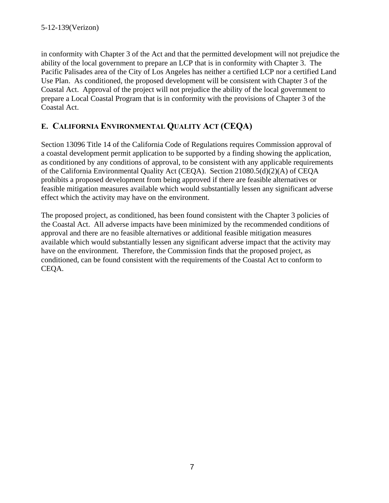in conformity with Chapter 3 of the Act and that the permitted development will not prejudice the ability of the local government to prepare an LCP that is in conformity with Chapter 3. The Pacific Palisades area of the City of Los Angeles has neither a certified LCP nor a certified Land Use Plan. As conditioned, the proposed development will be consistent with Chapter 3 of the Coastal Act. Approval of the project will not prejudice the ability of the local government to prepare a Local Coastal Program that is in conformity with the provisions of Chapter 3 of the Coastal Act.

## **E. CALIFORNIA ENVIRONMENTAL QUALITY ACT (CEQA)**

Section 13096 Title 14 of the California Code of Regulations requires Commission approval of a coastal development permit application to be supported by a finding showing the application, as conditioned by any conditions of approval, to be consistent with any applicable requirements of the California Environmental Quality Act (CEQA). Section 21080.5(d)(2)(A) of CEQA prohibits a proposed development from being approved if there are feasible alternatives or feasible mitigation measures available which would substantially lessen any significant adverse effect which the activity may have on the environment.

The proposed project, as conditioned, has been found consistent with the Chapter 3 policies of the Coastal Act. All adverse impacts have been minimized by the recommended conditions of approval and there are no feasible alternatives or additional feasible mitigation measures available which would substantially lessen any significant adverse impact that the activity may have on the environment. Therefore, the Commission finds that the proposed project, as conditioned, can be found consistent with the requirements of the Coastal Act to conform to CEQA.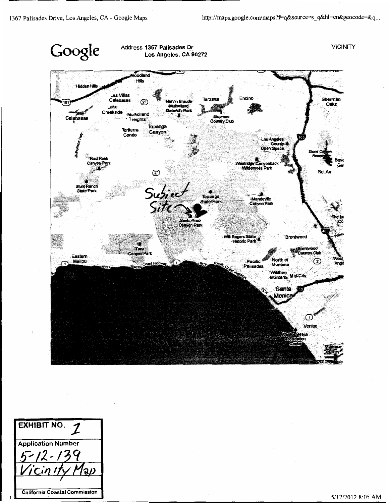

**EXHIBIT NO.**  $\mathcal I$ **Application Number** จิม **California Coastal Commission**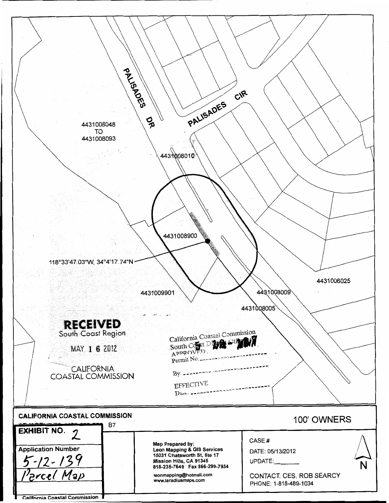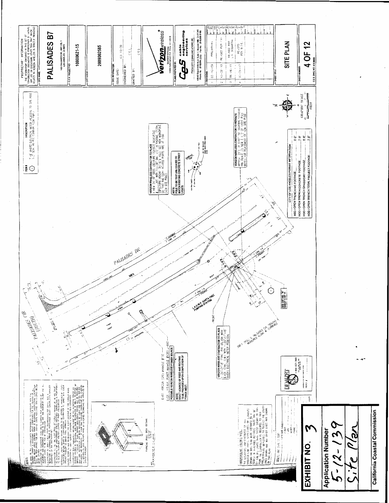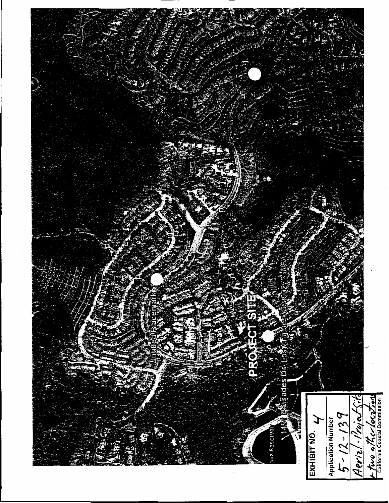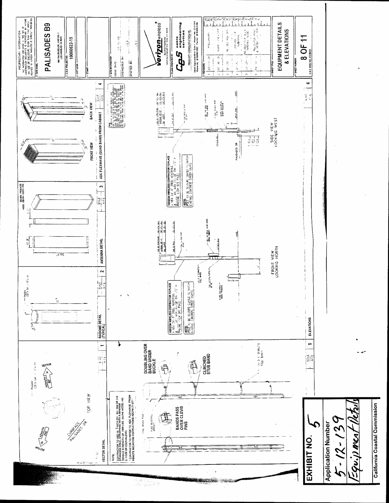